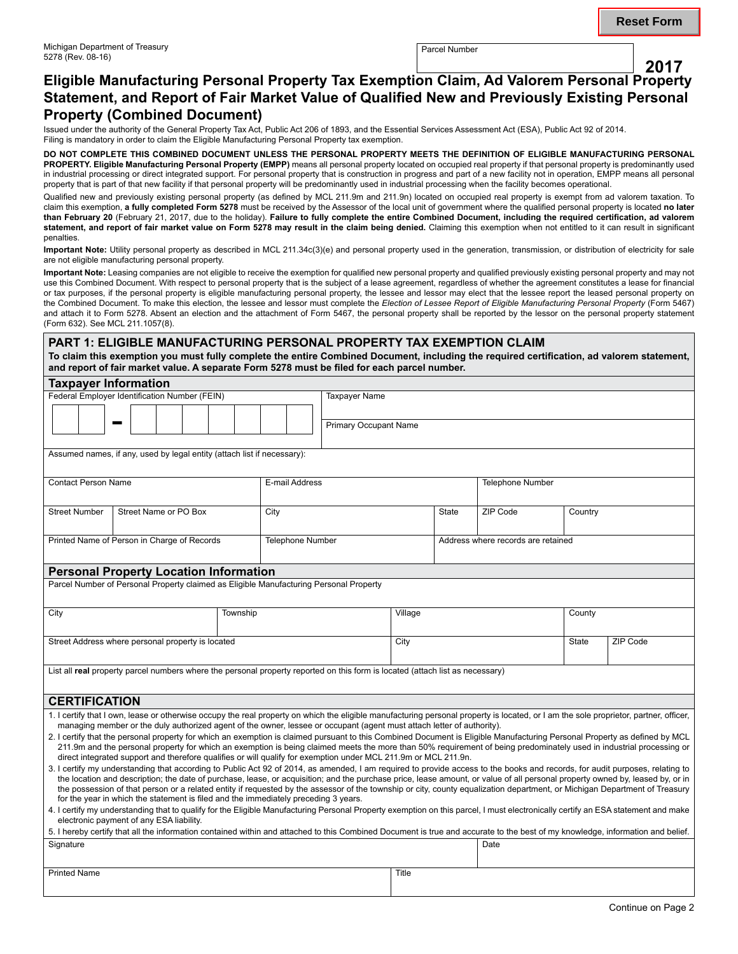## **2017 Eligible Manufacturing Personal Property Tax Exemption Claim, Ad Valorem Personal Property Statement, and Report of Fair Market Value of Qualified New and Previously Existing Personal Property (Combined Document)**

Issued under the authority of the General Property Tax Act, Public Act 206 of 1893, and the Essential Services Assessment Act (ESA), Public Act 92 of 2014. Filing is mandatory in order to claim the Eligible Manufacturing Personal Property tax exemption.

**DO NOT COMPLETE THIS COMBINED DOCUMENT UNLESS THE PERSONAL PROPERTY MEETS THE DEFINITION OF ELIGIBLE MANUFACTURING PERSONAL PROPERTY. Eligible Manufacturing Personal Property (EMPP)** means all personal property located on occupied real property if that personal property is predominantly used in industrial processing or direct integrated support. For personal property that is construction in progress and part of a new facility not in operation, EMPP means all personal property that is part of that new facility if that personal property will be predominantly used in industrial processing when the facility becomes operational.

Qualified new and previously existing personal property (as defined by MCL 211.9m and 211.9n) located on occupied real property is exempt from ad valorem taxation. To claim this exemption, **a fully completed Form 5278** must be received by the Assessor of the local unit of government where the qualified personal property is located **no later than February 20** (February 21, 2017, due to the holiday). **Failure to fully complete the entire Combined Document, including the required certification, ad valorem statement, and report of fair market value on Form 5278 may result in the claim being denied.** Claiming this exemption when not entitled to it can result in significant penalties.

**Important Note:** Utility personal property as described in MCL 211.34c(3)(e) and personal property used in the generation, transmission, or distribution of electricity for sale are not eligible manufacturing personal property.

**Important Note:** Leasing companies are not eligible to receive the exemption for qualified new personal property and qualified previously existing personal property and may not use this Combined Document. With respect to personal property that is the subject of a lease agreement, regardless of whether the agreement constitutes a lease for financial or tax purposes, if the personal property is eligible manufacturing personal property, the lessee and lessor may elect that the lessee report the leased personal property on the Combined Document. To make this election, the lessee and lessor must complete the *Election of Lessee Report of Eligible Manufacturing Personal Property* (Form 5467) and attach it to Form 5278. Absent an election and the attachment of Form 5467, the personal property shall be reported by the lessor on the personal property statement (Form 632). See MCL 211.1057(8).

**PART 1: ELIGIBLE MANUFACTURING PERSONAL PROPERTY TAX EXEMPTION CLAIM To claim this exemption you must fully complete the entire Combined Document, including the required certification, ad valorem statement, and report of fair market value. A separate Form 5278 must be filed for each parcel number.**

# **Taxpayer Information** Federal Employer Identification Number (FEIN) r Identification Number (FEIN)<br> **- Taxpayer Name**<br>
Primary Occupa Primary Occupant Name Assumed names, if any, used by legal entity (attach list if necessary): Contact Person Name **E-mail Address** Telephone Number Street Number Street Name or PO Box City City State ZIP Code Country Printed Name of Person in Charge of Records Telephone Number Address where records are retained **Personal Property Location Information** Parcel Number of Personal Property claimed as Eligible Manufacturing Personal Property City Township Village County Street Address where personal property is located City City State ZIP Code List all **real** property parcel numbers where the personal property reported on this form is located (attach list as necessary) **CERTIFICATION** 1. I certify that I own, lease or otherwise occupy the real property on which the eligible manufacturing personal property is located, or I am the sole proprietor, partner, officer, managing member or the duly authorized agent of the owner, lessee or occupant (agent must attach letter of authority). 2. I certify that the personal property for which an exemption is claimed pursuant to this Combined Document is Eligible Manufacturing Personal Property as defined by MCL 211.9m and the personal property for which an exemption is being claimed meets the more than 50% requirement of being predominately used in industrial processing or direct integrated support and therefore qualifies or will qualify for exemption under MCL 211.9m or MCL 211.9n. 3. I certify my understanding that according to Public Act 92 of 2014, as amended, I am required to provide access to the books and records, for audit purposes, relating to the location and description; the date of purchase, lease, or acquisition; and the purchase price, lease amount, or value of all personal property owned by, leased by, or in the possession of that person or a related entity if requested by the assessor of the township or city, county equalization department, or Michigan Department of Treasury for the year in which the statement is filed and the immediately preceding 3 years. 4. I certify my understanding that to qualify for the Eligible Manufacturing Personal Property exemption on this parcel, I must electronically certify an ESA statement and make electronic payment of any ESA liability. 5. I hereby certify that all the information contained within and attached to this Combined Document is true and accurate to the best of my knowledge, information and belief. Signature **Date**

Printed Name **Title**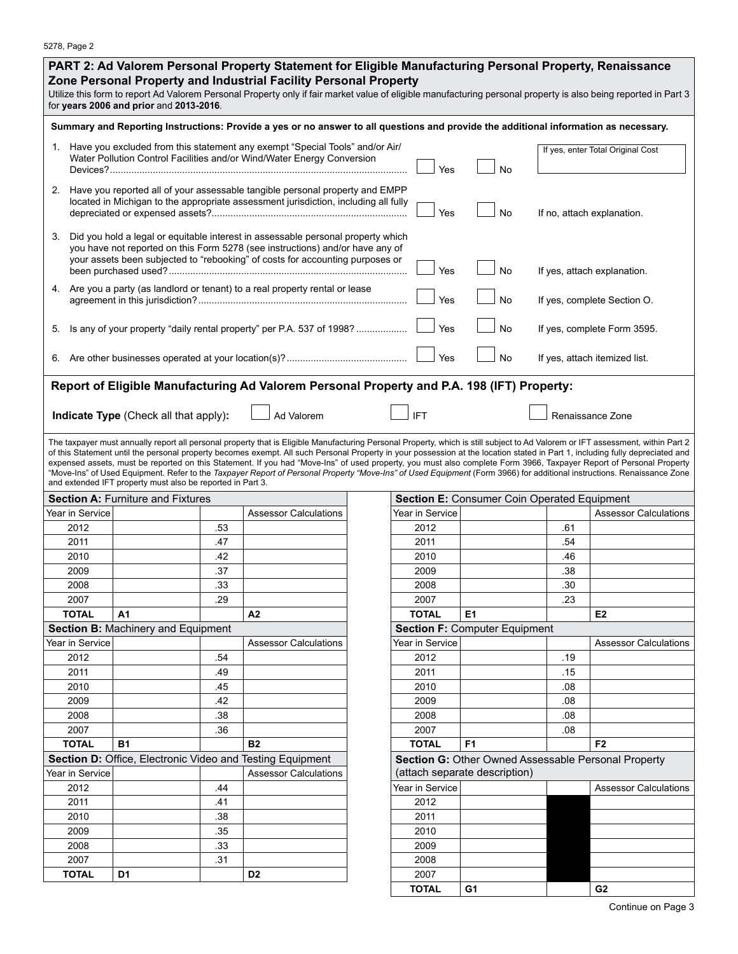|                                    |                                                                                                                                                                                                                                                                                                       | for years 2006 and prior and 2013-2016.                                                             |     | PART 2: Ad Valorem Personal Property Statement for Eligible Manufacturing Personal Property, Renaissance<br>Zone Personal Property and Industrial Facility Personal Property<br>Utilize this form to report Ad Valorem Personal Property only if fair market value of eligible manufacturing personal property is also being reported in Part 3                                                                                                                                                                                                                                                                                                                                                                                 |  |                                      |                                                     |                                   |                               |
|------------------------------------|-------------------------------------------------------------------------------------------------------------------------------------------------------------------------------------------------------------------------------------------------------------------------------------------------------|-----------------------------------------------------------------------------------------------------|-----|---------------------------------------------------------------------------------------------------------------------------------------------------------------------------------------------------------------------------------------------------------------------------------------------------------------------------------------------------------------------------------------------------------------------------------------------------------------------------------------------------------------------------------------------------------------------------------------------------------------------------------------------------------------------------------------------------------------------------------|--|--------------------------------------|-----------------------------------------------------|-----------------------------------|-------------------------------|
|                                    |                                                                                                                                                                                                                                                                                                       |                                                                                                     |     | Summary and Reporting Instructions: Provide a yes or no answer to all questions and provide the additional information as necessary.                                                                                                                                                                                                                                                                                                                                                                                                                                                                                                                                                                                            |  |                                      |                                                     |                                   |                               |
|                                    | 1. Have you excluded from this statement any exempt "Special Tools" and/or Air/<br>Water Pollution Control Facilities and/or Wind/Water Energy Conversion                                                                                                                                             |                                                                                                     |     |                                                                                                                                                                                                                                                                                                                                                                                                                                                                                                                                                                                                                                                                                                                                 |  | Yes                                  | <b>No</b>                                           | If yes, enter Total Original Cost |                               |
|                                    |                                                                                                                                                                                                                                                                                                       |                                                                                                     |     | 2. Have you reported all of your assessable tangible personal property and EMPP<br>located in Michigan to the appropriate assessment jurisdiction, including all fully                                                                                                                                                                                                                                                                                                                                                                                                                                                                                                                                                          |  | Yes                                  | <b>No</b>                                           |                                   | If no, attach explanation.    |
| 3.                                 | Did you hold a legal or equitable interest in assessable personal property which<br>you have not reported on this Form 5278 (see instructions) and/or have any of<br>your assets been subjected to "rebooking" of costs for accounting purposes or<br><b>No</b><br>Yes<br>If yes, attach explanation. |                                                                                                     |     |                                                                                                                                                                                                                                                                                                                                                                                                                                                                                                                                                                                                                                                                                                                                 |  |                                      |                                                     |                                   |                               |
|                                    | 4. Are you a party (as landlord or tenant) to a real property rental or lease<br>Yes<br><b>No</b><br>If yes, complete Section O.                                                                                                                                                                      |                                                                                                     |     |                                                                                                                                                                                                                                                                                                                                                                                                                                                                                                                                                                                                                                                                                                                                 |  |                                      |                                                     |                                   |                               |
| 5.                                 | <b>No</b><br>Is any of your property "daily rental property" per P.A. 537 of 1998?<br>Yes<br>If yes, complete Form 3595.                                                                                                                                                                              |                                                                                                     |     |                                                                                                                                                                                                                                                                                                                                                                                                                                                                                                                                                                                                                                                                                                                                 |  |                                      |                                                     |                                   |                               |
|                                    |                                                                                                                                                                                                                                                                                                       |                                                                                                     |     |                                                                                                                                                                                                                                                                                                                                                                                                                                                                                                                                                                                                                                                                                                                                 |  | Yes                                  | No                                                  |                                   | If yes, attach itemized list. |
|                                    |                                                                                                                                                                                                                                                                                                       | Indicate Type (Check all that apply):<br>and extended IFT property must also be reported in Part 3. |     | Ad Valorem<br>The taxpayer must annually report all personal property that is Eligible Manufacturing Personal Property, which is still subject to Ad Valorem or IFT assessment, within Part 2<br>of this Statement until the personal property becomes exempt. All such Personal Property in your possession at the location stated in Part 1, including fully depreciated and<br>expensed assets, must be reported on this Statement. If you had "Move-Ins" of used property, you must also complete Form 3966, Taxpayer Report of Personal Property<br>"Move-Ins" of Used Equipment. Refer to the Taxpayer Report of Personal Property "Move-Ins" of Used Equipment (Form 3966) for additional instructions. Renaissance Zone |  | <b>IFT</b>                           |                                                     |                                   | Renaissance Zone              |
|                                    |                                                                                                                                                                                                                                                                                                       | <b>Section A: Furniture and Fixtures</b>                                                            |     |                                                                                                                                                                                                                                                                                                                                                                                                                                                                                                                                                                                                                                                                                                                                 |  |                                      | Section E: Consumer Coin Operated Equipment         |                                   |                               |
|                                    | Year in Service                                                                                                                                                                                                                                                                                       |                                                                                                     |     | <b>Assessor Calculations</b>                                                                                                                                                                                                                                                                                                                                                                                                                                                                                                                                                                                                                                                                                                    |  | Year in Service                      |                                                     |                                   | <b>Assessor Calculations</b>  |
|                                    | 2012                                                                                                                                                                                                                                                                                                  |                                                                                                     | .53 |                                                                                                                                                                                                                                                                                                                                                                                                                                                                                                                                                                                                                                                                                                                                 |  | 2012                                 |                                                     | .61                               |                               |
|                                    | 2011                                                                                                                                                                                                                                                                                                  |                                                                                                     | .47 |                                                                                                                                                                                                                                                                                                                                                                                                                                                                                                                                                                                                                                                                                                                                 |  | 2011                                 |                                                     | .54                               |                               |
|                                    | 2010                                                                                                                                                                                                                                                                                                  |                                                                                                     | .42 |                                                                                                                                                                                                                                                                                                                                                                                                                                                                                                                                                                                                                                                                                                                                 |  | 2010                                 |                                                     | .46                               |                               |
|                                    | 2009                                                                                                                                                                                                                                                                                                  |                                                                                                     | .37 |                                                                                                                                                                                                                                                                                                                                                                                                                                                                                                                                                                                                                                                                                                                                 |  | 2009                                 |                                                     | .38                               |                               |
|                                    | 2008                                                                                                                                                                                                                                                                                                  |                                                                                                     | .33 |                                                                                                                                                                                                                                                                                                                                                                                                                                                                                                                                                                                                                                                                                                                                 |  | 2008                                 |                                                     | .30                               |                               |
|                                    | 2007                                                                                                                                                                                                                                                                                                  |                                                                                                     | .29 |                                                                                                                                                                                                                                                                                                                                                                                                                                                                                                                                                                                                                                                                                                                                 |  | 2007                                 |                                                     | .23                               |                               |
|                                    | <b>TOTAL</b>                                                                                                                                                                                                                                                                                          | A <sub>1</sub>                                                                                      |     | A <sub>2</sub>                                                                                                                                                                                                                                                                                                                                                                                                                                                                                                                                                                                                                                                                                                                  |  | <b>TOTAL</b>                         | E <sub>1</sub>                                      |                                   | E <sub>2</sub>                |
| Section B: Machinery and Equipment |                                                                                                                                                                                                                                                                                                       |                                                                                                     |     |                                                                                                                                                                                                                                                                                                                                                                                                                                                                                                                                                                                                                                                                                                                                 |  | <b>Section F: Computer Equipment</b> |                                                     |                                   |                               |
|                                    | Year in Service                                                                                                                                                                                                                                                                                       |                                                                                                     |     | <b>Assessor Calculations</b>                                                                                                                                                                                                                                                                                                                                                                                                                                                                                                                                                                                                                                                                                                    |  | Year in Service                      |                                                     |                                   | <b>Assessor Calculations</b>  |
|                                    | 2012                                                                                                                                                                                                                                                                                                  |                                                                                                     | .54 |                                                                                                                                                                                                                                                                                                                                                                                                                                                                                                                                                                                                                                                                                                                                 |  | 2012                                 |                                                     | .19                               |                               |
|                                    | 2011                                                                                                                                                                                                                                                                                                  |                                                                                                     | .49 |                                                                                                                                                                                                                                                                                                                                                                                                                                                                                                                                                                                                                                                                                                                                 |  | 2011                                 |                                                     | .15                               |                               |
|                                    | 2010                                                                                                                                                                                                                                                                                                  |                                                                                                     | .45 |                                                                                                                                                                                                                                                                                                                                                                                                                                                                                                                                                                                                                                                                                                                                 |  | 2010                                 |                                                     | .08                               |                               |
|                                    | 2009                                                                                                                                                                                                                                                                                                  |                                                                                                     | .42 |                                                                                                                                                                                                                                                                                                                                                                                                                                                                                                                                                                                                                                                                                                                                 |  | 2009                                 |                                                     | .08                               |                               |
|                                    | 2008                                                                                                                                                                                                                                                                                                  |                                                                                                     | .38 |                                                                                                                                                                                                                                                                                                                                                                                                                                                                                                                                                                                                                                                                                                                                 |  | 2008                                 |                                                     | .08                               |                               |
|                                    | 2007                                                                                                                                                                                                                                                                                                  |                                                                                                     | .36 |                                                                                                                                                                                                                                                                                                                                                                                                                                                                                                                                                                                                                                                                                                                                 |  | 2007                                 |                                                     | .08                               |                               |
|                                    | <b>TOTAL</b>                                                                                                                                                                                                                                                                                          | <b>B1</b>                                                                                           |     | <b>B2</b>                                                                                                                                                                                                                                                                                                                                                                                                                                                                                                                                                                                                                                                                                                                       |  | <b>TOTAL</b>                         | F <sub>1</sub>                                      |                                   | F <sub>2</sub>                |
|                                    |                                                                                                                                                                                                                                                                                                       |                                                                                                     |     | Section D: Office, Electronic Video and Testing Equipment                                                                                                                                                                                                                                                                                                                                                                                                                                                                                                                                                                                                                                                                       |  |                                      | Section G: Other Owned Assessable Personal Property |                                   |                               |
|                                    | Year in Service                                                                                                                                                                                                                                                                                       |                                                                                                     |     | <b>Assessor Calculations</b>                                                                                                                                                                                                                                                                                                                                                                                                                                                                                                                                                                                                                                                                                                    |  |                                      | (attach separate description)                       |                                   |                               |
|                                    | 2012                                                                                                                                                                                                                                                                                                  |                                                                                                     | .44 |                                                                                                                                                                                                                                                                                                                                                                                                                                                                                                                                                                                                                                                                                                                                 |  | Year in Service                      |                                                     |                                   | <b>Assessor Calculations</b>  |
|                                    | 2011                                                                                                                                                                                                                                                                                                  |                                                                                                     | .41 |                                                                                                                                                                                                                                                                                                                                                                                                                                                                                                                                                                                                                                                                                                                                 |  | 2012                                 |                                                     |                                   |                               |
|                                    | 2010                                                                                                                                                                                                                                                                                                  |                                                                                                     | .38 |                                                                                                                                                                                                                                                                                                                                                                                                                                                                                                                                                                                                                                                                                                                                 |  | 2011                                 |                                                     |                                   |                               |
|                                    | 2009                                                                                                                                                                                                                                                                                                  |                                                                                                     | .35 |                                                                                                                                                                                                                                                                                                                                                                                                                                                                                                                                                                                                                                                                                                                                 |  | 2010                                 |                                                     |                                   |                               |
|                                    | 2008                                                                                                                                                                                                                                                                                                  |                                                                                                     | .33 |                                                                                                                                                                                                                                                                                                                                                                                                                                                                                                                                                                                                                                                                                                                                 |  | 2009                                 |                                                     |                                   |                               |
|                                    |                                                                                                                                                                                                                                                                                                       |                                                                                                     |     |                                                                                                                                                                                                                                                                                                                                                                                                                                                                                                                                                                                                                                                                                                                                 |  |                                      |                                                     |                                   |                               |

2007 .31 2008 **TOTAL D1 D2** 2007

**TOTAL G1 G2**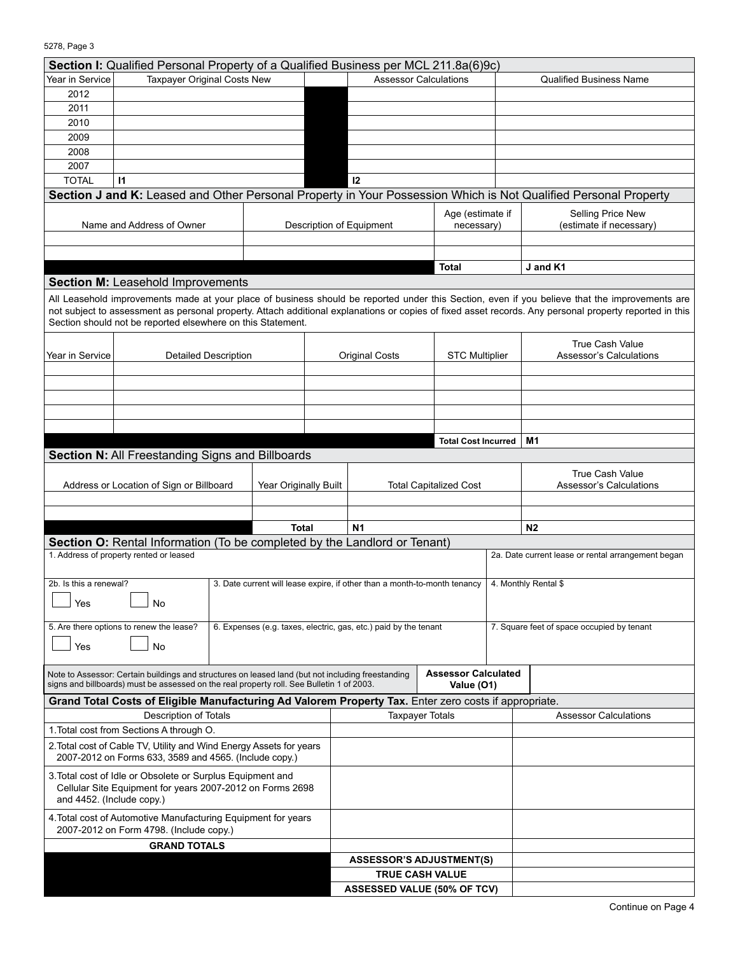| Section I: Qualified Personal Property of a Qualified Business per MCL 211.8a(6)9c)                                                                                                                                                                                                                                                                                      |                                                                                                                                       |                                                                           |  |                                                                                                                 |  |                              |                                              |                                                    |  |
|--------------------------------------------------------------------------------------------------------------------------------------------------------------------------------------------------------------------------------------------------------------------------------------------------------------------------------------------------------------------------|---------------------------------------------------------------------------------------------------------------------------------------|---------------------------------------------------------------------------|--|-----------------------------------------------------------------------------------------------------------------|--|------------------------------|----------------------------------------------|----------------------------------------------------|--|
| Year in Service                                                                                                                                                                                                                                                                                                                                                          | Taxpayer Original Costs New                                                                                                           |                                                                           |  | <b>Assessor Calculations</b>                                                                                    |  |                              |                                              | <b>Qualified Business Name</b>                     |  |
| 2012                                                                                                                                                                                                                                                                                                                                                                     |                                                                                                                                       |                                                                           |  |                                                                                                                 |  |                              |                                              |                                                    |  |
| 2011                                                                                                                                                                                                                                                                                                                                                                     |                                                                                                                                       |                                                                           |  |                                                                                                                 |  |                              |                                              |                                                    |  |
| 2010                                                                                                                                                                                                                                                                                                                                                                     |                                                                                                                                       |                                                                           |  |                                                                                                                 |  |                              |                                              |                                                    |  |
| 2009                                                                                                                                                                                                                                                                                                                                                                     |                                                                                                                                       |                                                                           |  |                                                                                                                 |  |                              |                                              |                                                    |  |
| 2008                                                                                                                                                                                                                                                                                                                                                                     |                                                                                                                                       |                                                                           |  |                                                                                                                 |  |                              |                                              |                                                    |  |
| 2007                                                                                                                                                                                                                                                                                                                                                                     |                                                                                                                                       |                                                                           |  |                                                                                                                 |  |                              |                                              |                                                    |  |
| <b>TOTAL</b>                                                                                                                                                                                                                                                                                                                                                             | 11                                                                                                                                    |                                                                           |  | 12                                                                                                              |  |                              |                                              |                                                    |  |
|                                                                                                                                                                                                                                                                                                                                                                          |                                                                                                                                       |                                                                           |  | Section J and K: Leased and Other Personal Property in Your Possession Which is Not Qualified Personal Property |  |                              |                                              |                                                    |  |
| Name and Address of Owner                                                                                                                                                                                                                                                                                                                                                |                                                                                                                                       |                                                                           |  | Age (estimate if<br>Description of Equipment<br>necessary)                                                      |  |                              | Selling Price New<br>(estimate if necessary) |                                                    |  |
|                                                                                                                                                                                                                                                                                                                                                                          |                                                                                                                                       |                                                                           |  |                                                                                                                 |  |                              |                                              |                                                    |  |
|                                                                                                                                                                                                                                                                                                                                                                          |                                                                                                                                       |                                                                           |  | Total                                                                                                           |  |                              | J and K1                                     |                                                    |  |
|                                                                                                                                                                                                                                                                                                                                                                          | <b>Section M: Leasehold Improvements</b>                                                                                              |                                                                           |  |                                                                                                                 |  |                              |                                              |                                                    |  |
| All Leasehold improvements made at your place of business should be reported under this Section, even if you believe that the improvements are<br>not subject to assessment as personal property. Attach additional explanations or copies of fixed asset records. Any personal property reported in this<br>Section should not be reported elsewhere on this Statement. |                                                                                                                                       |                                                                           |  |                                                                                                                 |  |                              |                                              |                                                    |  |
| Year in Service                                                                                                                                                                                                                                                                                                                                                          | <b>Detailed Description</b>                                                                                                           |                                                                           |  | <b>Original Costs</b>                                                                                           |  | <b>STC Multiplier</b>        |                                              | <b>True Cash Value</b><br>Assessor's Calculations  |  |
|                                                                                                                                                                                                                                                                                                                                                                          |                                                                                                                                       |                                                                           |  |                                                                                                                 |  |                              |                                              |                                                    |  |
|                                                                                                                                                                                                                                                                                                                                                                          |                                                                                                                                       |                                                                           |  |                                                                                                                 |  |                              |                                              |                                                    |  |
|                                                                                                                                                                                                                                                                                                                                                                          |                                                                                                                                       |                                                                           |  |                                                                                                                 |  |                              |                                              |                                                    |  |
|                                                                                                                                                                                                                                                                                                                                                                          |                                                                                                                                       |                                                                           |  |                                                                                                                 |  |                              |                                              |                                                    |  |
|                                                                                                                                                                                                                                                                                                                                                                          |                                                                                                                                       |                                                                           |  |                                                                                                                 |  | <b>Total Cost Incurred</b>   |                                              | M1                                                 |  |
|                                                                                                                                                                                                                                                                                                                                                                          | Section N: All Freestanding Signs and Billboards                                                                                      |                                                                           |  |                                                                                                                 |  |                              |                                              |                                                    |  |
|                                                                                                                                                                                                                                                                                                                                                                          |                                                                                                                                       |                                                                           |  |                                                                                                                 |  |                              |                                              |                                                    |  |
|                                                                                                                                                                                                                                                                                                                                                                          | Address or Location of Sign or Billboard                                                                                              | Year Originally Built                                                     |  |                                                                                                                 |  |                              |                                              | <b>True Cash Value</b><br>Assessor's Calculations  |  |
|                                                                                                                                                                                                                                                                                                                                                                          |                                                                                                                                       |                                                                           |  | <b>Total Capitalized Cost</b>                                                                                   |  |                              |                                              |                                                    |  |
|                                                                                                                                                                                                                                                                                                                                                                          |                                                                                                                                       |                                                                           |  |                                                                                                                 |  |                              |                                              |                                                    |  |
|                                                                                                                                                                                                                                                                                                                                                                          |                                                                                                                                       | Total                                                                     |  | <b>N1</b>                                                                                                       |  |                              |                                              | N <sub>2</sub>                                     |  |
|                                                                                                                                                                                                                                                                                                                                                                          | Section O: Rental Information (To be completed by the Landlord or Tenant)                                                             |                                                                           |  |                                                                                                                 |  |                              |                                              |                                                    |  |
|                                                                                                                                                                                                                                                                                                                                                                          | 1. Address of property rented or leased                                                                                               |                                                                           |  |                                                                                                                 |  |                              |                                              | 2a. Date current lease or rental arrangement began |  |
|                                                                                                                                                                                                                                                                                                                                                                          |                                                                                                                                       |                                                                           |  |                                                                                                                 |  |                              |                                              |                                                    |  |
| 2b. Is this a renewal?                                                                                                                                                                                                                                                                                                                                                   |                                                                                                                                       | 3. Date current will lease expire, if other than a month-to-month tenancy |  |                                                                                                                 |  |                              |                                              | 4. Monthly Rental \$                               |  |
| Yes                                                                                                                                                                                                                                                                                                                                                                      | No                                                                                                                                    |                                                                           |  |                                                                                                                 |  |                              |                                              |                                                    |  |
|                                                                                                                                                                                                                                                                                                                                                                          |                                                                                                                                       |                                                                           |  |                                                                                                                 |  |                              |                                              |                                                    |  |
|                                                                                                                                                                                                                                                                                                                                                                          | 5. Are there options to renew the lease?                                                                                              |                                                                           |  | 6. Expenses (e.g. taxes, electric, gas, etc.) paid by the tenant                                                |  |                              | 7. Square feet of space occupied by tenant   |                                                    |  |
| Yes                                                                                                                                                                                                                                                                                                                                                                      | No                                                                                                                                    |                                                                           |  |                                                                                                                 |  |                              |                                              |                                                    |  |
|                                                                                                                                                                                                                                                                                                                                                                          |                                                                                                                                       |                                                                           |  |                                                                                                                 |  |                              |                                              |                                                    |  |
| signs and billboards) must be assessed on the real property roll. See Bulletin 1 of 2003.                                                                                                                                                                                                                                                                                | Note to Assessor: Certain buildings and structures on leased land (but not including freestanding                                     | <b>Assessor Calculated</b><br>Value (O1)                                  |  |                                                                                                                 |  |                              |                                              |                                                    |  |
|                                                                                                                                                                                                                                                                                                                                                                          | Grand Total Costs of Eligible Manufacturing Ad Valorem Property Tax. Enter zero costs if appropriate.<br><b>Description of Totals</b> |                                                                           |  |                                                                                                                 |  |                              |                                              |                                                    |  |
|                                                                                                                                                                                                                                                                                                                                                                          |                                                                                                                                       | <b>Taxpayer Totals</b>                                                    |  |                                                                                                                 |  | <b>Assessor Calculations</b> |                                              |                                                    |  |
| 1. Total cost from Sections A through O.                                                                                                                                                                                                                                                                                                                                 |                                                                                                                                       |                                                                           |  |                                                                                                                 |  |                              |                                              |                                                    |  |
| 2. Total cost of Cable TV, Utility and Wind Energy Assets for years<br>2007-2012 on Forms 633, 3589 and 4565. (Include copy.)                                                                                                                                                                                                                                            |                                                                                                                                       |                                                                           |  |                                                                                                                 |  |                              |                                              |                                                    |  |
| 3. Total cost of Idle or Obsolete or Surplus Equipment and<br>Cellular Site Equipment for years 2007-2012 on Forms 2698<br>and 4452. (Include copy.)                                                                                                                                                                                                                     |                                                                                                                                       |                                                                           |  |                                                                                                                 |  |                              |                                              |                                                    |  |
| 4. Total cost of Automotive Manufacturing Equipment for years<br>2007-2012 on Form 4798. (Include copy.)                                                                                                                                                                                                                                                                 |                                                                                                                                       |                                                                           |  |                                                                                                                 |  |                              |                                              |                                                    |  |
| <b>GRAND TOTALS</b>                                                                                                                                                                                                                                                                                                                                                      |                                                                                                                                       |                                                                           |  |                                                                                                                 |  |                              |                                              |                                                    |  |
| <b>ASSESSOR'S ADJUSTMENT(S)</b>                                                                                                                                                                                                                                                                                                                                          |                                                                                                                                       |                                                                           |  |                                                                                                                 |  |                              |                                              |                                                    |  |
|                                                                                                                                                                                                                                                                                                                                                                          |                                                                                                                                       | <b>TRUE CASH VALUE</b>                                                    |  |                                                                                                                 |  |                              |                                              |                                                    |  |
|                                                                                                                                                                                                                                                                                                                                                                          |                                                                                                                                       |                                                                           |  | <b>ASSESSED VALUE (50% OF TCV)</b>                                                                              |  |                              |                                              |                                                    |  |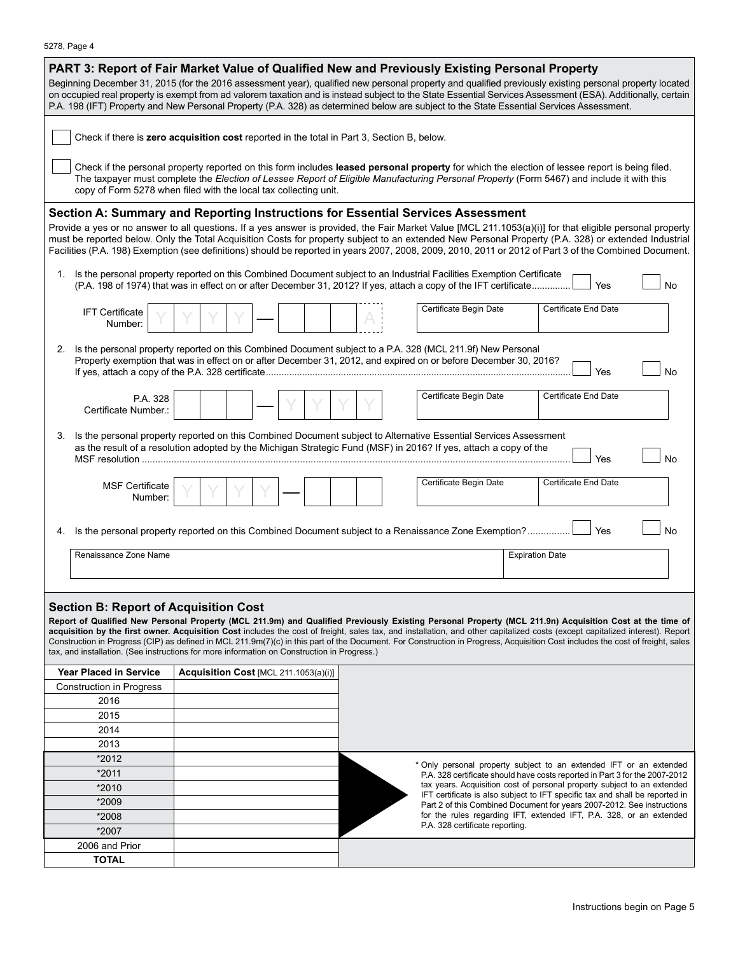| 5278, Page 4 |
|--------------|
|--------------|

| PART 3: Report of Fair Market Value of Qualified New and Previously Existing Personal Property<br>Beginning December 31, 2015 (for the 2016 assessment year), qualified new personal property and qualified previously existing personal property located<br>on occupied real property is exempt from ad valorem taxation and is instead subject to the State Essential Services Assessment (ESA). Additionally, certain<br>P.A. 198 (IFT) Property and New Personal Property (P.A. 328) as determined below are subject to the State Essential Services Assessment.                                                                                                      |                                                                                                                                                        |                                                                                                                                                                                                                                 |                                                                              |  |  |  |  |  |
|---------------------------------------------------------------------------------------------------------------------------------------------------------------------------------------------------------------------------------------------------------------------------------------------------------------------------------------------------------------------------------------------------------------------------------------------------------------------------------------------------------------------------------------------------------------------------------------------------------------------------------------------------------------------------|--------------------------------------------------------------------------------------------------------------------------------------------------------|---------------------------------------------------------------------------------------------------------------------------------------------------------------------------------------------------------------------------------|------------------------------------------------------------------------------|--|--|--|--|--|
| Check if there is zero acquisition cost reported in the total in Part 3, Section B, below.                                                                                                                                                                                                                                                                                                                                                                                                                                                                                                                                                                                |                                                                                                                                                        |                                                                                                                                                                                                                                 |                                                                              |  |  |  |  |  |
| Check if the personal property reported on this form includes leased personal property for which the election of lessee report is being filed.<br>The taxpayer must complete the Election of Lessee Report of Eligible Manufacturing Personal Property (Form 5467) and include it with this<br>copy of Form 5278 when filed with the local tax collecting unit.                                                                                                                                                                                                                                                                                                           |                                                                                                                                                        |                                                                                                                                                                                                                                 |                                                                              |  |  |  |  |  |
|                                                                                                                                                                                                                                                                                                                                                                                                                                                                                                                                                                                                                                                                           |                                                                                                                                                        |                                                                                                                                                                                                                                 |                                                                              |  |  |  |  |  |
| Section A: Summary and Reporting Instructions for Essential Services Assessment<br>Provide a yes or no answer to all questions. If a yes answer is provided, the Fair Market Value [MCL 211.1053(a)(i)] for that eligible personal property<br>must be reported below. Only the Total Acquisition Costs for property subject to an extended New Personal Property (P.A. 328) or extended Industrial<br>Facilities (P.A. 198) Exemption (see definitions) should be reported in years 2007, 2008, 2009, 2010, 2011 or 2012 of Part 3 of the Combined Document.                                                                                                             |                                                                                                                                                        |                                                                                                                                                                                                                                 |                                                                              |  |  |  |  |  |
| 1. Is the personal property reported on this Combined Document subject to an Industrial Facilities Exemption Certificate<br>(P.A. 198 of 1974) that was in effect on or after December 31, 2012? If yes, attach a copy of the IFT certificate<br>Yes<br>No                                                                                                                                                                                                                                                                                                                                                                                                                |                                                                                                                                                        |                                                                                                                                                                                                                                 |                                                                              |  |  |  |  |  |
| <b>IFT Certificate</b><br>Number:                                                                                                                                                                                                                                                                                                                                                                                                                                                                                                                                                                                                                                         |                                                                                                                                                        | Certificate Begin Date                                                                                                                                                                                                          | Certificate End Date                                                         |  |  |  |  |  |
| 2.                                                                                                                                                                                                                                                                                                                                                                                                                                                                                                                                                                                                                                                                        |                                                                                                                                                        | Is the personal property reported on this Combined Document subject to a P.A. 328 (MCL 211.9f) New Personal<br>Property exemption that was in effect on or after December 31, 2012, and expired on or before December 30, 2016? | Yes<br>No                                                                    |  |  |  |  |  |
| P.A. 328<br>Certificate Number.:                                                                                                                                                                                                                                                                                                                                                                                                                                                                                                                                                                                                                                          |                                                                                                                                                        | Certificate Begin Date                                                                                                                                                                                                          | Certificate End Date                                                         |  |  |  |  |  |
| Is the personal property reported on this Combined Document subject to Alternative Essential Services Assessment<br>3.<br>as the result of a resolution adopted by the Michigan Strategic Fund (MSF) in 2016? If yes, attach a copy of the<br>Yes<br>No                                                                                                                                                                                                                                                                                                                                                                                                                   |                                                                                                                                                        |                                                                                                                                                                                                                                 |                                                                              |  |  |  |  |  |
| <b>MSF Certificate</b><br>Number:                                                                                                                                                                                                                                                                                                                                                                                                                                                                                                                                                                                                                                         |                                                                                                                                                        | Certificate Begin Date                                                                                                                                                                                                          | Certificate End Date                                                         |  |  |  |  |  |
|                                                                                                                                                                                                                                                                                                                                                                                                                                                                                                                                                                                                                                                                           |                                                                                                                                                        | 4. Is the personal property reported on this Combined Document subject to a Renaissance Zone Exemption?                                                                                                                         | Yes<br>No                                                                    |  |  |  |  |  |
| Renaissance Zone Name                                                                                                                                                                                                                                                                                                                                                                                                                                                                                                                                                                                                                                                     |                                                                                                                                                        |                                                                                                                                                                                                                                 | <b>Expiration Date</b>                                                       |  |  |  |  |  |
|                                                                                                                                                                                                                                                                                                                                                                                                                                                                                                                                                                                                                                                                           |                                                                                                                                                        |                                                                                                                                                                                                                                 |                                                                              |  |  |  |  |  |
|                                                                                                                                                                                                                                                                                                                                                                                                                                                                                                                                                                                                                                                                           |                                                                                                                                                        |                                                                                                                                                                                                                                 |                                                                              |  |  |  |  |  |
| <b>Section B: Report of Acquisition Cost</b><br>Report of Qualified New Personal Property (MCL 211.9m) and Qualified Previously Existing Personal Property (MCL 211.9n) Acquisition Cost at the time of<br>acquisition by the first owner. Acquisition Cost includes the cost of freight, sales tax, and installation, and other capitalized costs (except capitalized interest). Report<br>Construction in Progress (CIP) as defined in MCL 211.9m(7)(c) in this part of the Document. For Construction in Progress, Acquisition Cost includes the cost of freight, sales<br>tax, and installation. (See instructions for more information on Construction in Progress.) |                                                                                                                                                        |                                                                                                                                                                                                                                 |                                                                              |  |  |  |  |  |
| <b>Year Placed in Service</b>                                                                                                                                                                                                                                                                                                                                                                                                                                                                                                                                                                                                                                             | Acquisition Cost [MCL 211.1053(a)(i)]                                                                                                                  |                                                                                                                                                                                                                                 |                                                                              |  |  |  |  |  |
| Construction in Progress                                                                                                                                                                                                                                                                                                                                                                                                                                                                                                                                                                                                                                                  |                                                                                                                                                        |                                                                                                                                                                                                                                 |                                                                              |  |  |  |  |  |
| 2016                                                                                                                                                                                                                                                                                                                                                                                                                                                                                                                                                                                                                                                                      |                                                                                                                                                        |                                                                                                                                                                                                                                 |                                                                              |  |  |  |  |  |
| 2015                                                                                                                                                                                                                                                                                                                                                                                                                                                                                                                                                                                                                                                                      |                                                                                                                                                        |                                                                                                                                                                                                                                 |                                                                              |  |  |  |  |  |
| 2014                                                                                                                                                                                                                                                                                                                                                                                                                                                                                                                                                                                                                                                                      |                                                                                                                                                        |                                                                                                                                                                                                                                 |                                                                              |  |  |  |  |  |
| 2013                                                                                                                                                                                                                                                                                                                                                                                                                                                                                                                                                                                                                                                                      |                                                                                                                                                        |                                                                                                                                                                                                                                 |                                                                              |  |  |  |  |  |
| *2012<br>* Only personal property subject to an extended IFT or an extended                                                                                                                                                                                                                                                                                                                                                                                                                                                                                                                                                                                               |                                                                                                                                                        |                                                                                                                                                                                                                                 |                                                                              |  |  |  |  |  |
| *2011                                                                                                                                                                                                                                                                                                                                                                                                                                                                                                                                                                                                                                                                     | P.A. 328 certificate should have costs reported in Part 3 for the 2007-2012<br>tax years. Acquisition cost of personal property subject to an extended |                                                                                                                                                                                                                                 |                                                                              |  |  |  |  |  |
| *2010                                                                                                                                                                                                                                                                                                                                                                                                                                                                                                                                                                                                                                                                     |                                                                                                                                                        |                                                                                                                                                                                                                                 | IFT certificate is also subject to IFT specific tax and shall be reported in |  |  |  |  |  |
| *2009                                                                                                                                                                                                                                                                                                                                                                                                                                                                                                                                                                                                                                                                     |                                                                                                                                                        |                                                                                                                                                                                                                                 | Part 2 of this Combined Document for years 2007-2012. See instructions       |  |  |  |  |  |
| *2008                                                                                                                                                                                                                                                                                                                                                                                                                                                                                                                                                                                                                                                                     |                                                                                                                                                        | P.A. 328 certificate reporting.                                                                                                                                                                                                 | for the rules regarding IFT, extended IFT, P.A. 328, or an extended          |  |  |  |  |  |
| *2007<br>2006 and Prior                                                                                                                                                                                                                                                                                                                                                                                                                                                                                                                                                                                                                                                   |                                                                                                                                                        |                                                                                                                                                                                                                                 |                                                                              |  |  |  |  |  |
| <b>TOTAL</b>                                                                                                                                                                                                                                                                                                                                                                                                                                                                                                                                                                                                                                                              |                                                                                                                                                        |                                                                                                                                                                                                                                 |                                                                              |  |  |  |  |  |
|                                                                                                                                                                                                                                                                                                                                                                                                                                                                                                                                                                                                                                                                           |                                                                                                                                                        |                                                                                                                                                                                                                                 |                                                                              |  |  |  |  |  |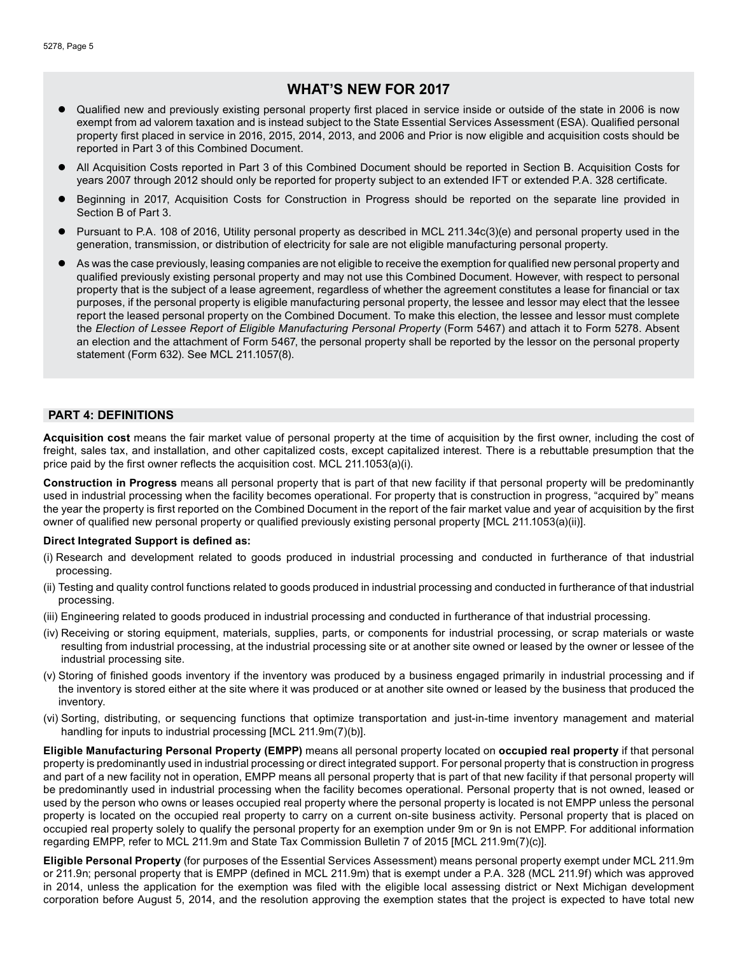## **WHAT'S NEW FOR 2017**

- l Qualified new and previously existing personal property first placed in service inside or outside of the state in 2006 is now exempt from ad valorem taxation and is instead subject to the State Essential Services Assessment (ESA). Qualified personal property first placed in service in 2016, 2015, 2014, 2013, and 2006 and Prior is now eligible and acquisition costs should be reported in Part 3 of this Combined Document.
- l All Acquisition Costs reported in Part 3 of this Combined Document should be reported in Section B. Acquisition Costs for years 2007 through 2012 should only be reported for property subject to an extended IFT or extended P.A. 328 certificate.
- l Beginning in 2017, Acquisition Costs for Construction in Progress should be reported on the separate line provided in Section B of Part 3.
- l Pursuant to P.A. 108 of 2016, Utility personal property as described in MCL 211.34c(3)(e) and personal property used in the generation, transmission, or distribution of electricity for sale are not eligible manufacturing personal property.
- As was the case previously, leasing companies are not eligible to receive the exemption for qualified new personal property and qualified previously existing personal property and may not use this Combined Document. However, with respect to personal property that is the subject of a lease agreement, regardless of whether the agreement constitutes a lease for financial or tax purposes, if the personal property is eligible manufacturing personal property, the lessee and lessor may elect that the lessee report the leased personal property on the Combined Document. To make this election, the lessee and lessor must complete the *Election of Lessee Report of Eligible Manufacturing Personal Property* (Form 5467) and attach it to Form 5278. Absent an election and the attachment of Form 5467, the personal property shall be reported by the lessor on the personal property statement (Form 632). See MCL 211.1057(8).

## **PART 4: DEFINITIONS**

**Acquisition cost** means the fair market value of personal property at the time of acquisition by the first owner, including the cost of freight, sales tax, and installation, and other capitalized costs, except capitalized interest. There is a rebuttable presumption that the price paid by the first owner reflects the acquisition cost. MCL 211.1053(a)(i).

**Construction in Progress** means all personal property that is part of that new facility if that personal property will be predominantly used in industrial processing when the facility becomes operational. For property that is construction in progress, "acquired by" means the year the property is first reported on the Combined Document in the report of the fair market value and year of acquisition by the first owner of qualified new personal property or qualified previously existing personal property [MCL 211.1053(a)(ii)].

#### **Direct Integrated Support is defined as:**

- (i) Research and development related to goods produced in industrial processing and conducted in furtherance of that industrial processing.
- (ii) Testing and quality control functions related to goods produced in industrial processing and conducted in furtherance of that industrial processing.
- (iii) Engineering related to goods produced in industrial processing and conducted in furtherance of that industrial processing.
- (iv) Receiving or storing equipment, materials, supplies, parts, or components for industrial processing, or scrap materials or waste resulting from industrial processing, at the industrial processing site or at another site owned or leased by the owner or lessee of the industrial processing site.
- (v) Storing of finished goods inventory if the inventory was produced by a business engaged primarily in industrial processing and if the inventory is stored either at the site where it was produced or at another site owned or leased by the business that produced the inventory.
- (vi) Sorting, distributing, or sequencing functions that optimize transportation and just-in-time inventory management and material handling for inputs to industrial processing [MCL 211.9m(7)(b)].

**Eligible Manufacturing Personal Property (EMPP)** means all personal property located on **occupied real property** if that personal property is predominantly used in industrial processing or direct integrated support. For personal property that is construction in progress and part of a new facility not in operation, EMPP means all personal property that is part of that new facility if that personal property will be predominantly used in industrial processing when the facility becomes operational. Personal property that is not owned, leased or used by the person who owns or leases occupied real property where the personal property is located is not EMPP unless the personal property is located on the occupied real property to carry on a current on-site business activity. Personal property that is placed on occupied real property solely to qualify the personal property for an exemption under 9m or 9n is not EMPP. For additional information regarding EMPP, refer to MCL 211.9m and State Tax Commission Bulletin 7 of 2015 [MCL 211.9m(7)(c)].

**Eligible Personal Property** (for purposes of the Essential Services Assessment) means personal property exempt under MCL 211.9m or 211.9n; personal property that is EMPP (defined in MCL 211.9m) that is exempt under a P.A. 328 (MCL 211.9f) which was approved in 2014, unless the application for the exemption was filed with the eligible local assessing district or Next Michigan development corporation before August 5, 2014, and the resolution approving the exemption states that the project is expected to have total new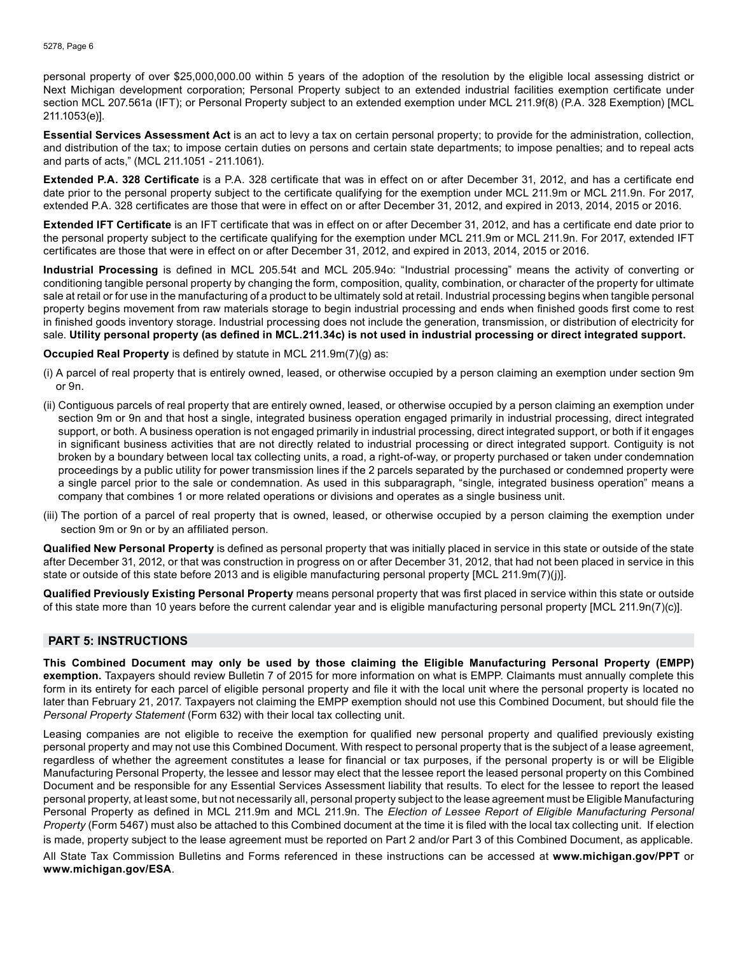personal property of over \$25,000,000.00 within 5 years of the adoption of the resolution by the eligible local assessing district or Next Michigan development corporation; Personal Property subject to an extended industrial facilities exemption certificate under section MCL 207.561a (IFT); or Personal Property subject to an extended exemption under MCL 211.9f(8) (P.A. 328 Exemption) [MCL 211.1053(e)].

**Essential Services Assessment Act** is an act to levy a tax on certain personal property; to provide for the administration, collection, and distribution of the tax; to impose certain duties on persons and certain state departments; to impose penalties; and to repeal acts and parts of acts," (MCL 211.1051 - 211.1061).

**Extended P.A. 328 Certificate** is a P.A. 328 certificate that was in effect on or after December 31, 2012, and has a certificate end date prior to the personal property subject to the certificate qualifying for the exemption under MCL 211.9m or MCL 211.9n. For 2017, extended P.A. 328 certificates are those that were in effect on or after December 31, 2012, and expired in 2013, 2014, 2015 or 2016.

**Extended IFT Certificate** is an IFT certificate that was in effect on or after December 31, 2012, and has a certificate end date prior to the personal property subject to the certificate qualifying for the exemption under MCL 211.9m or MCL 211.9n. For 2017, extended IFT certificates are those that were in effect on or after December 31, 2012, and expired in 2013, 2014, 2015 or 2016.

**Industrial Processing** is defined in MCL 205.54t and MCL 205.94o: "Industrial processing" means the activity of converting or conditioning tangible personal property by changing the form, composition, quality, combination, or character of the property for ultimate sale at retail or for use in the manufacturing of a product to be ultimately sold at retail. Industrial processing begins when tangible personal property begins movement from raw materials storage to begin industrial processing and ends when finished goods first come to rest in finished goods inventory storage. Industrial processing does not include the generation, transmission, or distribution of electricity for sale. **Utility personal property (as defined in MCL.211.34c) is not used in industrial processing or direct integrated support.**

**Occupied Real Property** is defined by statute in MCL 211.9m(7)(g) as:

- (i) A parcel of real property that is entirely owned, leased, or otherwise occupied by a person claiming an exemption under section 9m or 9n.
- (ii) Contiguous parcels of real property that are entirely owned, leased, or otherwise occupied by a person claiming an exemption under section 9m or 9n and that host a single, integrated business operation engaged primarily in industrial processing, direct integrated support, or both. A business operation is not engaged primarily in industrial processing, direct integrated support, or both if it engages in significant business activities that are not directly related to industrial processing or direct integrated support. Contiguity is not broken by a boundary between local tax collecting units, a road, a right-of-way, or property purchased or taken under condemnation proceedings by a public utility for power transmission lines if the 2 parcels separated by the purchased or condemned property were a single parcel prior to the sale or condemnation. As used in this subparagraph, "single, integrated business operation" means a company that combines 1 or more related operations or divisions and operates as a single business unit.
- (iii) The portion of a parcel of real property that is owned, leased, or otherwise occupied by a person claiming the exemption under section 9m or 9n or by an affiliated person.

**Qualified New Personal Property** is defined as personal property that was initially placed in service in this state or outside of the state after December 31, 2012, or that was construction in progress on or after December 31, 2012, that had not been placed in service in this state or outside of this state before 2013 and is eligible manufacturing personal property [MCL 211.9m(7)(j)].

**Qualified Previously Existing Personal Property** means personal property that was first placed in service within this state or outside of this state more than 10 years before the current calendar year and is eligible manufacturing personal property [MCL 211.9n(7)(c)].

## **PART 5: INSTRUCTIONS**

**This Combined Document may only be used by those claiming the Eligible Manufacturing Personal Property (EMPP) exemption.** Taxpayers should review Bulletin 7 of 2015 for more information on what is EMPP. Claimants must annually complete this form in its entirety for each parcel of eligible personal property and file it with the local unit where the personal property is located no later than February 21, 2017. Taxpayers not claiming the EMPP exemption should not use this Combined Document, but should file the *Personal Property Statement* (Form 632) with their local tax collecting unit.

Leasing companies are not eligible to receive the exemption for qualified new personal property and qualified previously existing personal property and may not use this Combined Document. With respect to personal property that is the subject of a lease agreement, regardless of whether the agreement constitutes a lease for financial or tax purposes, if the personal property is or will be Eligible Manufacturing Personal Property, the lessee and lessor may elect that the lessee report the leased personal property on this Combined Document and be responsible for any Essential Services Assessment liability that results. To elect for the lessee to report the leased personal property, at least some, but not necessarily all, personal property subject to the lease agreement must be Eligible Manufacturing Personal Property as defined in MCL 211.9m and MCL 211.9n. The *Election of Lessee Report of Eligible Manufacturing Personal Property* (Form 5467) must also be attached to this Combined document at the time it is filed with the local tax collecting unit. If election is made, property subject to the lease agreement must be reported on Part 2 and/or Part 3 of this Combined Document, as applicable.

All State Tax Commission Bulletins and Forms referenced in these instructions can be accessed at **www.michigan.gov/PPT** or **www.michigan.gov/ESA**.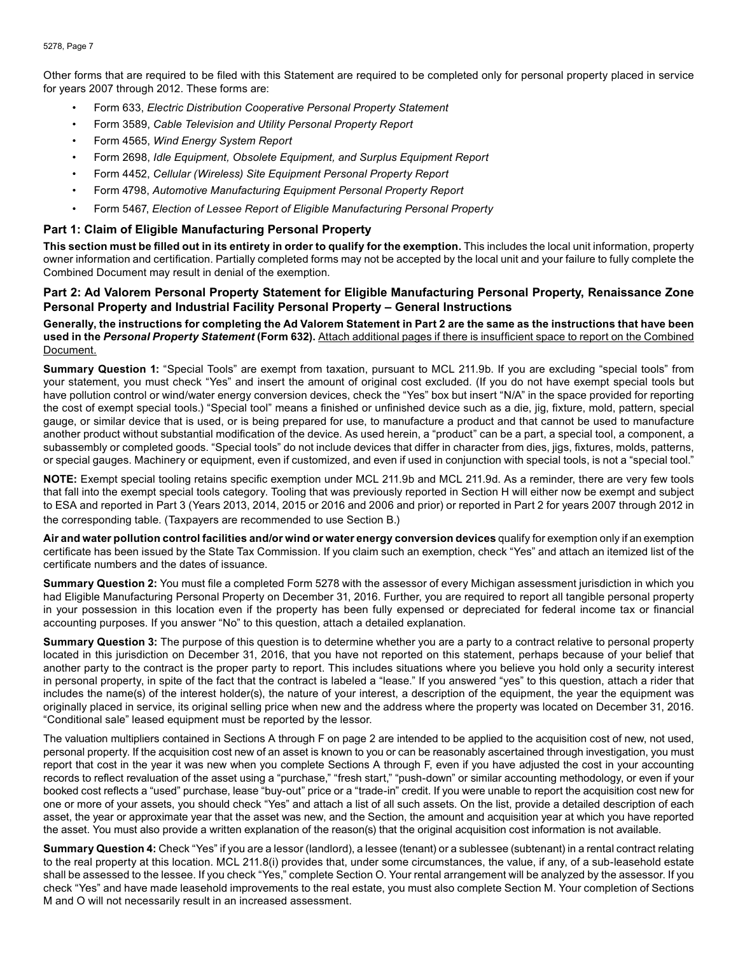Other forms that are required to be filed with this Statement are required to be completed only for personal property placed in service for years 2007 through 2012. These forms are:

- Form 633, *Electric Distribution Cooperative Personal Property Statement*
- Form 3589, *Cable Television and Utility Personal Property Report*
- Form 4565, *Wind Energy System Report*
- Form 2698, *Idle Equipment, Obsolete Equipment, and Surplus Equipment Report*
- Form 4452, *Cellular (Wireless) Site Equipment Personal Property Report*
- Form 4798, *Automotive Manufacturing Equipment Personal Property Report*
- Form 5467, *Election of Lessee Report of Eligible Manufacturing Personal Property*

### **Part 1: Claim of Eligible Manufacturing Personal Property**

**This section must be filled out in its entirety in order to qualify for the exemption.** This includes the local unit information, property owner information and certification. Partially completed forms may not be accepted by the local unit and your failure to fully complete the Combined Document may result in denial of the exemption.

## **Part 2: Ad Valorem Personal Property Statement for Eligible Manufacturing Personal Property, Renaissance Zone Personal Property and Industrial Facility Personal Property – General Instructions**

**Generally, the instructions for completing the Ad Valorem Statement in Part 2 are the same as the instructions that have been used in the** *Personal Property Statement* **(Form 632).** Attach additional pages if there is insufficient space to report on the Combined Document.

**Summary Question 1:** "Special Tools" are exempt from taxation, pursuant to MCL 211.9b. If you are excluding "special tools" from your statement, you must check "Yes" and insert the amount of original cost excluded. (If you do not have exempt special tools but have pollution control or wind/water energy conversion devices, check the "Yes" box but insert "N/A" in the space provided for reporting the cost of exempt special tools.) "Special tool" means a finished or unfinished device such as a die, jig, fixture, mold, pattern, special gauge, or similar device that is used, or is being prepared for use, to manufacture a product and that cannot be used to manufacture another product without substantial modification of the device. As used herein, a "product" can be a part, a special tool, a component, a subassembly or completed goods. "Special tools" do not include devices that differ in character from dies, jigs, fixtures, molds, patterns, or special gauges. Machinery or equipment, even if customized, and even if used in conjunction with special tools, is not a "special tool."

**NOTE:** Exempt special tooling retains specific exemption under MCL 211.9b and MCL 211.9d. As a reminder, there are very few tools that fall into the exempt special tools category. Tooling that was previously reported in Section H will either now be exempt and subject to ESA and reported in Part 3 (Years 2013, 2014, 2015 or 2016 and 2006 and prior) or reported in Part 2 for years 2007 through 2012 in the corresponding table. (Taxpayers are recommended to use Section B.)

**Air and water pollution control facilities and/or wind or water energy conversion devices** qualify for exemption only if an exemption certificate has been issued by the State Tax Commission. If you claim such an exemption, check "Yes" and attach an itemized list of the certificate numbers and the dates of issuance.

**Summary Question 2:** You must file a completed Form 5278 with the assessor of every Michigan assessment jurisdiction in which you had Eligible Manufacturing Personal Property on December 31, 2016. Further, you are required to report all tangible personal property in your possession in this location even if the property has been fully expensed or depreciated for federal income tax or financial accounting purposes. If you answer "No" to this question, attach a detailed explanation.

**Summary Question 3:** The purpose of this question is to determine whether you are a party to a contract relative to personal property located in this jurisdiction on December 31, 2016, that you have not reported on this statement, perhaps because of your belief that another party to the contract is the proper party to report. This includes situations where you believe you hold only a security interest in personal property, in spite of the fact that the contract is labeled a "lease." If you answered "yes" to this question, attach a rider that includes the name(s) of the interest holder(s), the nature of your interest, a description of the equipment, the year the equipment was originally placed in service, its original selling price when new and the address where the property was located on December 31, 2016. "Conditional sale" leased equipment must be reported by the lessor.

The valuation multipliers contained in Sections A through F on page 2 are intended to be applied to the acquisition cost of new, not used, personal property. If the acquisition cost new of an asset is known to you or can be reasonably ascertained through investigation, you must report that cost in the year it was new when you complete Sections A through F, even if you have adjusted the cost in your accounting records to reflect revaluation of the asset using a "purchase," "fresh start," "push-down" or similar accounting methodology, or even if your booked cost reflects a "used" purchase, lease "buy-out" price or a "trade-in" credit. If you were unable to report the acquisition cost new for one or more of your assets, you should check "Yes" and attach a list of all such assets. On the list, provide a detailed description of each asset, the year or approximate year that the asset was new, and the Section, the amount and acquisition year at which you have reported the asset. You must also provide a written explanation of the reason(s) that the original acquisition cost information is not available.

**Summary Question 4:** Check "Yes" if you are a lessor (landlord), a lessee (tenant) or a sublessee (subtenant) in a rental contract relating to the real property at this location. MCL 211.8(i) provides that, under some circumstances, the value, if any, of a sub-leasehold estate shall be assessed to the lessee. If you check "Yes," complete Section O. Your rental arrangement will be analyzed by the assessor. If you check "Yes" and have made leasehold improvements to the real estate, you must also complete Section M. Your completion of Sections M and O will not necessarily result in an increased assessment.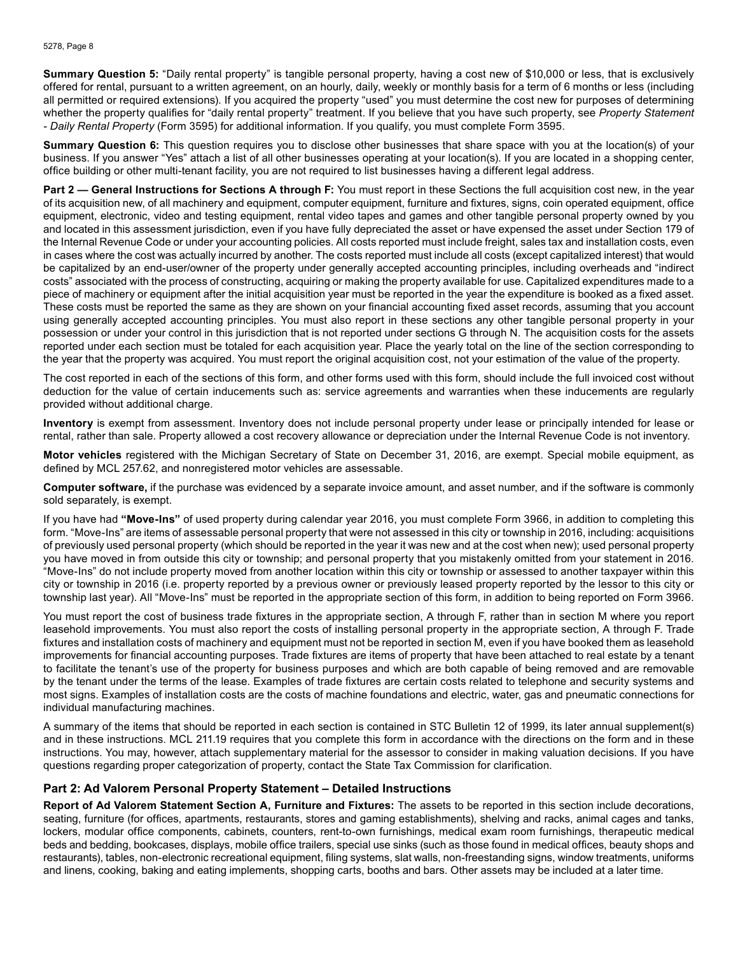**Summary Question 5:** "Daily rental property" is tangible personal property, having a cost new of \$10,000 or less, that is exclusively offered for rental, pursuant to a written agreement, on an hourly, daily, weekly or monthly basis for a term of 6 months or less (including all permitted or required extensions). If you acquired the property "used" you must determine the cost new for purposes of determining whether the property qualifies for "daily rental property" treatment. If you believe that you have such property, see *Property Statement - Daily Rental Property* (Form 3595) for additional information. If you qualify, you must complete Form 3595.

**Summary Question 6:** This question requires you to disclose other businesses that share space with you at the location(s) of your business. If you answer "Yes" attach a list of all other businesses operating at your location(s). If you are located in a shopping center, office building or other multi-tenant facility, you are not required to list businesses having a different legal address.

**Part 2 — General Instructions for Sections A through F:** You must report in these Sections the full acquisition cost new, in the year of its acquisition new, of all machinery and equipment, computer equipment, furniture and fixtures, signs, coin operated equipment, office equipment, electronic, video and testing equipment, rental video tapes and games and other tangible personal property owned by you and located in this assessment jurisdiction, even if you have fully depreciated the asset or have expensed the asset under Section 179 of the Internal Revenue Code or under your accounting policies. All costs reported must include freight, sales tax and installation costs, even in cases where the cost was actually incurred by another. The costs reported must include all costs (except capitalized interest) that would be capitalized by an end-user/owner of the property under generally accepted accounting principles, including overheads and "indirect costs" associated with the process of constructing, acquiring or making the property available for use. Capitalized expenditures made to a piece of machinery or equipment after the initial acquisition year must be reported in the year the expenditure is booked as a fixed asset. These costs must be reported the same as they are shown on your financial accounting fixed asset records, assuming that you account using generally accepted accounting principles. You must also report in these sections any other tangible personal property in your possession or under your control in this jurisdiction that is not reported under sections G through N. The acquisition costs for the assets reported under each section must be totaled for each acquisition year. Place the yearly total on the line of the section corresponding to the year that the property was acquired. You must report the original acquisition cost, not your estimation of the value of the property.

The cost reported in each of the sections of this form, and other forms used with this form, should include the full invoiced cost without deduction for the value of certain inducements such as: service agreements and warranties when these inducements are regularly provided without additional charge.

**Inventory** is exempt from assessment. Inventory does not include personal property under lease or principally intended for lease or rental, rather than sale. Property allowed a cost recovery allowance or depreciation under the Internal Revenue Code is not inventory.

**Motor vehicles** registered with the Michigan Secretary of State on December 31, 2016, are exempt. Special mobile equipment, as defined by MCL 257.62, and nonregistered motor vehicles are assessable.

**Computer software,** if the purchase was evidenced by a separate invoice amount, and asset number, and if the software is commonly sold separately, is exempt.

If you have had **"Move-Ins"** of used property during calendar year 2016, you must complete Form 3966, in addition to completing this form. "Move-Ins" are items of assessable personal property that were not assessed in this city or township in 2016, including: acquisitions of previously used personal property (which should be reported in the year it was new and at the cost when new); used personal property you have moved in from outside this city or township; and personal property that you mistakenly omitted from your statement in 2016. "Move-Ins" do not include property moved from another location within this city or township or assessed to another taxpayer within this city or township in 2016 (i.e. property reported by a previous owner or previously leased property reported by the lessor to this city or township last year). All "Move-Ins" must be reported in the appropriate section of this form, in addition to being reported on Form 3966.

You must report the cost of business trade fixtures in the appropriate section, A through F, rather than in section M where you report leasehold improvements. You must also report the costs of installing personal property in the appropriate section, A through F. Trade fixtures and installation costs of machinery and equipment must not be reported in section M, even if you have booked them as leasehold improvements for financial accounting purposes. Trade fixtures are items of property that have been attached to real estate by a tenant to facilitate the tenant's use of the property for business purposes and which are both capable of being removed and are removable by the tenant under the terms of the lease. Examples of trade fixtures are certain costs related to telephone and security systems and most signs. Examples of installation costs are the costs of machine foundations and electric, water, gas and pneumatic connections for individual manufacturing machines.

A summary of the items that should be reported in each section is contained in STC Bulletin 12 of 1999, its later annual supplement(s) and in these instructions. MCL 211.19 requires that you complete this form in accordance with the directions on the form and in these instructions. You may, however, attach supplementary material for the assessor to consider in making valuation decisions. If you have questions regarding proper categorization of property, contact the State Tax Commission for clarification.

## **Part 2: Ad Valorem Personal Property Statement – Detailed Instructions**

**Report of Ad Valorem Statement Section A, Furniture and Fixtures:** The assets to be reported in this section include decorations, seating, furniture (for offices, apartments, restaurants, stores and gaming establishments), shelving and racks, animal cages and tanks, lockers, modular office components, cabinets, counters, rent-to-own furnishings, medical exam room furnishings, therapeutic medical beds and bedding, bookcases, displays, mobile office trailers, special use sinks (such as those found in medical offices, beauty shops and restaurants), tables, non-electronic recreational equipment, filing systems, slat walls, non-freestanding signs, window treatments, uniforms and linens, cooking, baking and eating implements, shopping carts, booths and bars. Other assets may be included at a later time.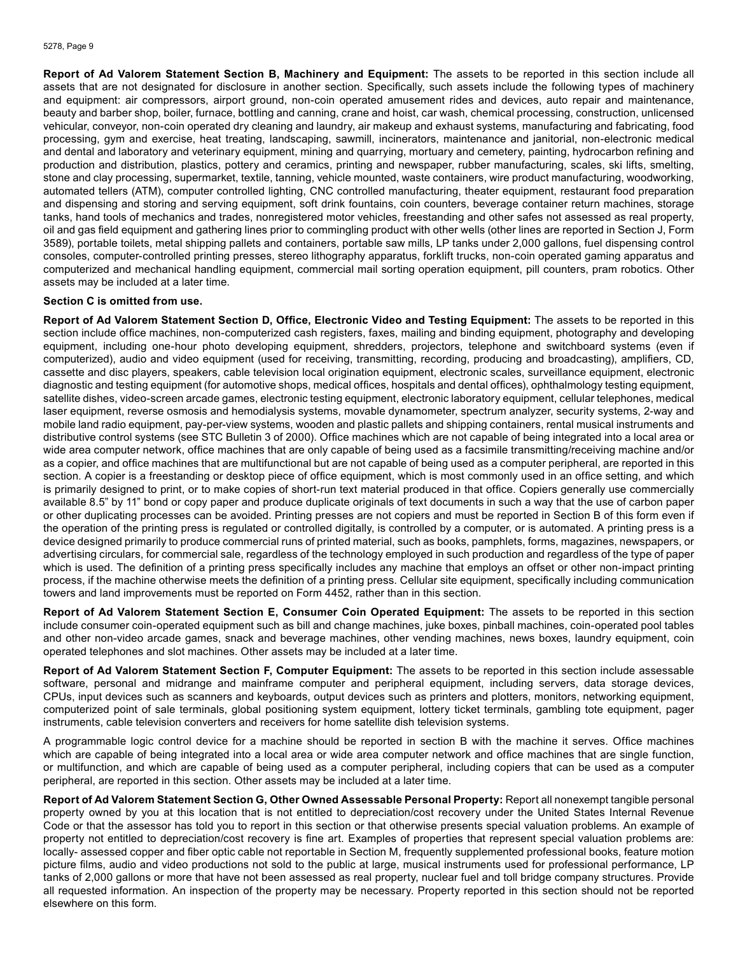**Report of Ad Valorem Statement Section B, Machinery and Equipment:** The assets to be reported in this section include all assets that are not designated for disclosure in another section. Specifically, such assets include the following types of machinery and equipment: air compressors, airport ground, non-coin operated amusement rides and devices, auto repair and maintenance, beauty and barber shop, boiler, furnace, bottling and canning, crane and hoist, car wash, chemical processing, construction, unlicensed vehicular, conveyor, non-coin operated dry cleaning and laundry, air makeup and exhaust systems, manufacturing and fabricating, food processing, gym and exercise, heat treating, landscaping, sawmill, incinerators, maintenance and janitorial, non-electronic medical and dental and laboratory and veterinary equipment, mining and quarrying, mortuary and cemetery, painting, hydrocarbon refining and production and distribution, plastics, pottery and ceramics, printing and newspaper, rubber manufacturing, scales, ski lifts, smelting, stone and clay processing, supermarket, textile, tanning, vehicle mounted, waste containers, wire product manufacturing, woodworking, automated tellers (ATM), computer controlled lighting, CNC controlled manufacturing, theater equipment, restaurant food preparation and dispensing and storing and serving equipment, soft drink fountains, coin counters, beverage container return machines, storage tanks, hand tools of mechanics and trades, nonregistered motor vehicles, freestanding and other safes not assessed as real property, oil and gas field equipment and gathering lines prior to commingling product with other wells (other lines are reported in Section J, Form 3589), portable toilets, metal shipping pallets and containers, portable saw mills, LP tanks under 2,000 gallons, fuel dispensing control consoles, computer-controlled printing presses, stereo lithography apparatus, forklift trucks, non-coin operated gaming apparatus and computerized and mechanical handling equipment, commercial mail sorting operation equipment, pill counters, pram robotics. Other assets may be included at a later time.

#### **Section C is omitted from use.**

**Report of Ad Valorem Statement Section D, Office, Electronic Video and Testing Equipment:** The assets to be reported in this section include office machines, non-computerized cash registers, faxes, mailing and binding equipment, photography and developing equipment, including one-hour photo developing equipment, shredders, projectors, telephone and switchboard systems (even if computerized), audio and video equipment (used for receiving, transmitting, recording, producing and broadcasting), amplifiers, CD, cassette and disc players, speakers, cable television local origination equipment, electronic scales, surveillance equipment, electronic diagnostic and testing equipment (for automotive shops, medical offices, hospitals and dental offices), ophthalmology testing equipment, satellite dishes, video-screen arcade games, electronic testing equipment, electronic laboratory equipment, cellular telephones, medical laser equipment, reverse osmosis and hemodialysis systems, movable dynamometer, spectrum analyzer, security systems, 2-way and mobile land radio equipment, pay-per-view systems, wooden and plastic pallets and shipping containers, rental musical instruments and distributive control systems (see STC Bulletin 3 of 2000). Office machines which are not capable of being integrated into a local area or wide area computer network, office machines that are only capable of being used as a facsimile transmitting/receiving machine and/or as a copier, and office machines that are multifunctional but are not capable of being used as a computer peripheral, are reported in this section. A copier is a freestanding or desktop piece of office equipment, which is most commonly used in an office setting, and which is primarily designed to print, or to make copies of short-run text material produced in that office. Copiers generally use commercially available 8.5" by 11" bond or copy paper and produce duplicate originals of text documents in such a way that the use of carbon paper or other duplicating processes can be avoided. Printing presses are not copiers and must be reported in Section B of this form even if the operation of the printing press is regulated or controlled digitally, is controlled by a computer, or is automated. A printing press is a device designed primarily to produce commercial runs of printed material, such as books, pamphlets, forms, magazines, newspapers, or advertising circulars, for commercial sale, regardless of the technology employed in such production and regardless of the type of paper which is used. The definition of a printing press specifically includes any machine that employs an offset or other non-impact printing process, if the machine otherwise meets the definition of a printing press. Cellular site equipment, specifically including communication towers and land improvements must be reported on Form 4452, rather than in this section.

**Report of Ad Valorem Statement Section E, Consumer Coin Operated Equipment:** The assets to be reported in this section include consumer coin-operated equipment such as bill and change machines, juke boxes, pinball machines, coin-operated pool tables and other non-video arcade games, snack and beverage machines, other vending machines, news boxes, laundry equipment, coin operated telephones and slot machines. Other assets may be included at a later time.

**Report of Ad Valorem Statement Section F, Computer Equipment:** The assets to be reported in this section include assessable software, personal and midrange and mainframe computer and peripheral equipment, including servers, data storage devices, CPUs, input devices such as scanners and keyboards, output devices such as printers and plotters, monitors, networking equipment, computerized point of sale terminals, global positioning system equipment, lottery ticket terminals, gambling tote equipment, pager instruments, cable television converters and receivers for home satellite dish television systems.

A programmable logic control device for a machine should be reported in section B with the machine it serves. Office machines which are capable of being integrated into a local area or wide area computer network and office machines that are single function, or multifunction, and which are capable of being used as a computer peripheral, including copiers that can be used as a computer peripheral, are reported in this section. Other assets may be included at a later time.

**Report of Ad Valorem Statement Section G, Other Owned Assessable Personal Property:** Report all nonexempt tangible personal property owned by you at this location that is not entitled to depreciation/cost recovery under the United States Internal Revenue Code or that the assessor has told you to report in this section or that otherwise presents special valuation problems. An example of property not entitled to depreciation/cost recovery is fine art. Examples of properties that represent special valuation problems are: locally- assessed copper and fiber optic cable not reportable in Section M, frequently supplemented professional books, feature motion picture films, audio and video productions not sold to the public at large, musical instruments used for professional performance, LP tanks of 2,000 gallons or more that have not been assessed as real property, nuclear fuel and toll bridge company structures. Provide all requested information. An inspection of the property may be necessary. Property reported in this section should not be reported elsewhere on this form.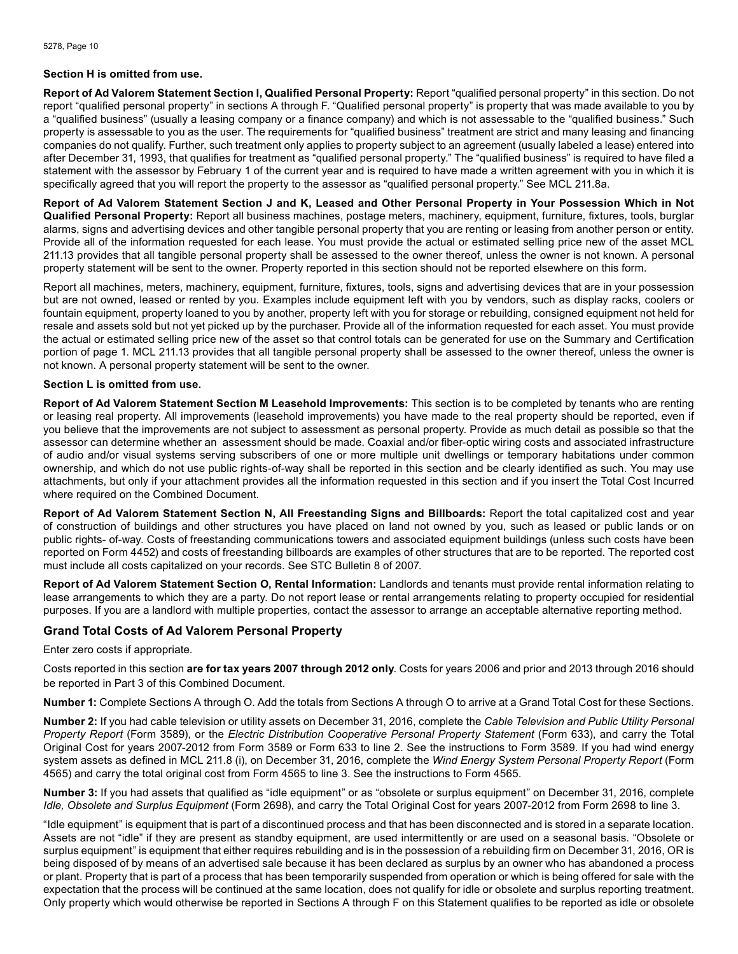#### **Section H is omitted from use.**

**Report of Ad Valorem Statement Section I, Qualified Personal Property:** Report "qualified personal property" in this section. Do not report "qualified personal property" in sections A through F. "Qualified personal property" is property that was made available to you by a "qualified business" (usually a leasing company or a finance company) and which is not assessable to the "qualified business." Such property is assessable to you as the user. The requirements for "qualified business" treatment are strict and many leasing and financing companies do not qualify. Further, such treatment only applies to property subject to an agreement (usually labeled a lease) entered into after December 31, 1993, that qualifies for treatment as "qualified personal property." The "qualified business" is required to have filed a statement with the assessor by February 1 of the current year and is required to have made a written agreement with you in which it is specifically agreed that you will report the property to the assessor as "qualified personal property." See MCL 211.8a.

**Report of Ad Valorem Statement Section J and K, Leased and Other Personal Property in Your Possession Which in Not Qualified Personal Property:** Report all business machines, postage meters, machinery, equipment, furniture, fixtures, tools, burglar alarms, signs and advertising devices and other tangible personal property that you are renting or leasing from another person or entity. Provide all of the information requested for each lease. You must provide the actual or estimated selling price new of the asset MCL 211.13 provides that all tangible personal property shall be assessed to the owner thereof, unless the owner is not known. A personal property statement will be sent to the owner. Property reported in this section should not be reported elsewhere on this form.

Report all machines, meters, machinery, equipment, furniture, fixtures, tools, signs and advertising devices that are in your possession but are not owned, leased or rented by you. Examples include equipment left with you by vendors, such as display racks, coolers or fountain equipment, property loaned to you by another, property left with you for storage or rebuilding, consigned equipment not held for resale and assets sold but not yet picked up by the purchaser. Provide all of the information requested for each asset. You must provide the actual or estimated selling price new of the asset so that control totals can be generated for use on the Summary and Certification portion of page 1. MCL 211.13 provides that all tangible personal property shall be assessed to the owner thereof, unless the owner is not known. A personal property statement will be sent to the owner.

#### **Section L is omitted from use.**

**Report of Ad Valorem Statement Section M Leasehold Improvements:** This section is to be completed by tenants who are renting or leasing real property. All improvements (leasehold improvements) you have made to the real property should be reported, even if you believe that the improvements are not subject to assessment as personal property. Provide as much detail as possible so that the assessor can determine whether an assessment should be made. Coaxial and/or fiber-optic wiring costs and associated infrastructure of audio and/or visual systems serving subscribers of one or more multiple unit dwellings or temporary habitations under common ownership, and which do not use public rights-of-way shall be reported in this section and be clearly identified as such. You may use attachments, but only if your attachment provides all the information requested in this section and if you insert the Total Cost Incurred where required on the Combined Document.

**Report of Ad Valorem Statement Section N, All Freestanding Signs and Billboards:** Report the total capitalized cost and year of construction of buildings and other structures you have placed on land not owned by you, such as leased or public lands or on public rights- of-way. Costs of freestanding communications towers and associated equipment buildings (unless such costs have been reported on Form 4452) and costs of freestanding billboards are examples of other structures that are to be reported. The reported cost must include all costs capitalized on your records. See STC Bulletin 8 of 2007.

**Report of Ad Valorem Statement Section O, Rental Information:** Landlords and tenants must provide rental information relating to lease arrangements to which they are a party. Do not report lease or rental arrangements relating to property occupied for residential purposes. If you are a landlord with multiple properties, contact the assessor to arrange an acceptable alternative reporting method.

## **Grand Total Costs of Ad Valorem Personal Property**

#### Enter zero costs if appropriate.

Costs reported in this section **are for tax years 2007 through 2012 only**. Costs for years 2006 and prior and 2013 through 2016 should be reported in Part 3 of this Combined Document.

**Number 1:** Complete Sections A through O. Add the totals from Sections A through O to arrive at a Grand Total Cost for these Sections.

**Number 2:** If you had cable television or utility assets on December 31, 2016, complete the *Cable Television and Public Utility Personal Property Report* (Form 3589), or the *Electric Distribution Cooperative Personal Property Statement* (Form 633), and carry the Total Original Cost for years 2007-2012 from Form 3589 or Form 633 to line 2. See the instructions to Form 3589. If you had wind energy system assets as defined in MCL 211.8 (i), on December 31, 2016, complete the *Wind Energy System Personal Property Report* (Form 4565) and carry the total original cost from Form 4565 to line 3. See the instructions to Form 4565.

**Number 3:** If you had assets that qualified as "idle equipment" or as "obsolete or surplus equipment" on December 31, 2016, complete *Idle, Obsolete and Surplus Equipment* (Form 2698), and carry the Total Original Cost for years 2007-2012 from Form 2698 to line 3.

"Idle equipment" is equipment that is part of a discontinued process and that has been disconnected and is stored in a separate location. Assets are not "idle" if they are present as standby equipment, are used intermittently or are used on a seasonal basis. "Obsolete or surplus equipment" is equipment that either requires rebuilding and is in the possession of a rebuilding firm on December 31, 2016, OR is being disposed of by means of an advertised sale because it has been declared as surplus by an owner who has abandoned a process or plant. Property that is part of a process that has been temporarily suspended from operation or which is being offered for sale with the expectation that the process will be continued at the same location, does not qualify for idle or obsolete and surplus reporting treatment. Only property which would otherwise be reported in Sections A through F on this Statement qualifies to be reported as idle or obsolete